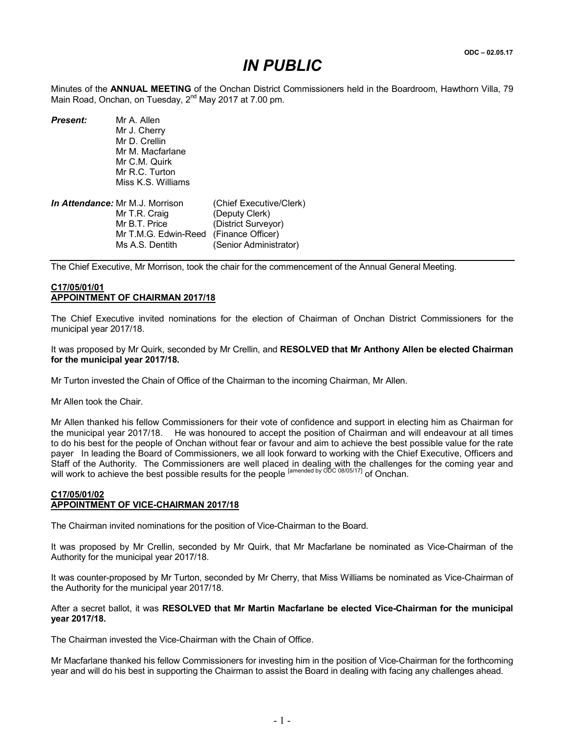## *IN PUBLIC*

Minutes of the ANNUAL MEETING of the Onchan District Commissioners held in the Boardroom, Hawthorn Villa, 79 Main Road, Onchan, on Tuesday,  $2^{nd}$  May 2017 at 7.00 pm.

*Present:* Mr A. Allen Mr J. Cherry Mr D. Crellin Mr M. Macfarlane Mr C.M. Quirk Mr R.C. Turton Miss K.S. Williams *In Attendance:* Mr M.J. Morrison (Chief Executive/Clerk)<br>Mr T.R. Craig (Deputy Clerk)

Mr T.R. Craig (Deputy Clerk)<br>Mr B.T. Price (District Survey (District Surveyor) Mr T.M.G. Edwin-Reed (Finance Officer) Ms A.S. Dentith (Senior Administrator)

The Chief Executive, Mr Morrison, took the chair for the commencement of the Annual General Meeting.

#### C17/05/01/01 APPOINTMENT OF CHAIRMAN 2017/18

The Chief Executive invited nominations for the election of Chairman of Onchan District Commissioners for the municipal year 2017/18.

It was proposed by Mr Quirk, seconded by Mr Crellin, and RESOLVED that Mr Anthony Allen be elected Chairman for the municipal year 2017/18.

Mr Turton invested the Chain of Office of the Chairman to the incoming Chairman, Mr Allen.

Mr Allen took the Chair.

Mr Allen thanked his fellow Commissioners for their vote of confidence and support in electing him as Chairman for the municipal year 2017/18. He was honoured to accept the position of Chairman and will endeavour at all times to do his best for the people of Onchan without fear or favour and aim to achieve the best possible value for the rate payer In leading the Board of Commissioners, we all look forward to working with the Chief Executive, Officers and Staff of the Authority. The Commissioners are well placed in dealing with the challenges for the coming year and will work to achieve the best possible results for the people <sup>[amended by ODC 08/05/17]</sup> of Onchan.

#### C17/05/01/02 APPOINTMENT OF VICE-CHAIRMAN 2017/18

The Chairman invited nominations for the position of Vice-Chairman to the Board.

It was proposed by Mr Crellin, seconded by Mr Quirk, that Mr Macfarlane be nominated as Vice-Chairman of the Authority for the municipal year 2017/18.

It was counter-proposed by Mr Turton, seconded by Mr Cherry, that Miss Williams be nominated as Vice-Chairman of the Authority for the municipal year 2017/18.

#### After a secret ballot, it was RESOLVED that Mr Martin Macfarlane be elected Vice-Chairman for the municipal year 2017/18.

The Chairman invested the Vice-Chairman with the Chain of Office.

Mr Macfarlane thanked his fellow Commissioners for investing him in the position of Vice-Chairman for the forthcoming year and will do his best in supporting the Chairman to assist the Board in dealing with facing any challenges ahead.